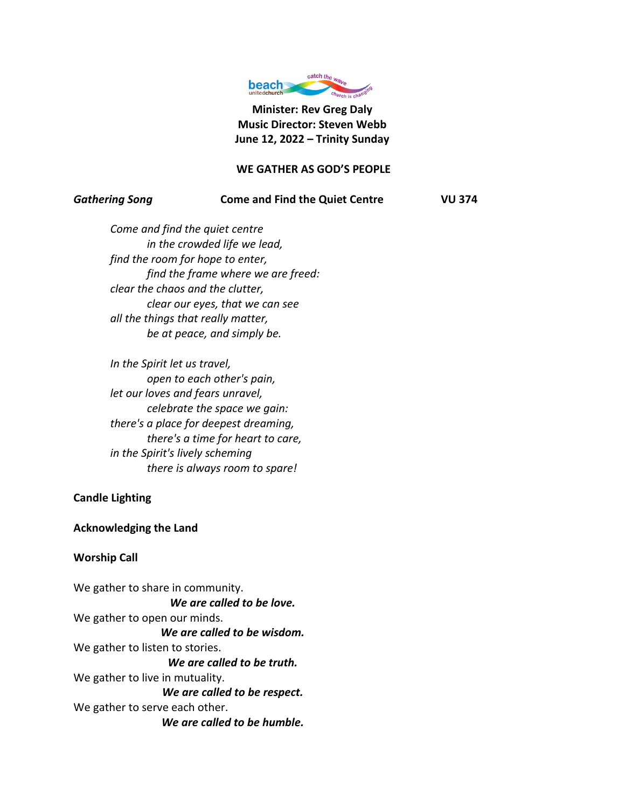

**Minister: Rev Greg Daly Music Director: Steven Webb June 12, 2022 – Trinity Sunday**

## **WE GATHER AS GOD'S PEOPLE**

#### *Gathering Song* **Come and Find the Quiet Centre VU 374**

*Come and find the quiet centre in the crowded life we lead, find the room for hope to enter, find the frame where we are freed: clear the chaos and the clutter, clear our eyes, that we can see all the things that really matter, be at peace, and simply be.*

*In the Spirit let us travel, open to each other's pain, let our loves and fears unravel, celebrate the space we gain: there's a place for deepest dreaming, there's a time for heart to care, in the Spirit's lively scheming there is always room to spare!*

# **Candle Lighting**

## **Acknowledging the Land**

# **Worship Call**

We gather to share in community. *We are called to be love.* We gather to open our minds. *We are called to be wisdom.* We gather to listen to stories. *We are called to be truth.* We gather to live in mutuality. *We are called to be respect.* We gather to serve each other. *We are called to be humble.*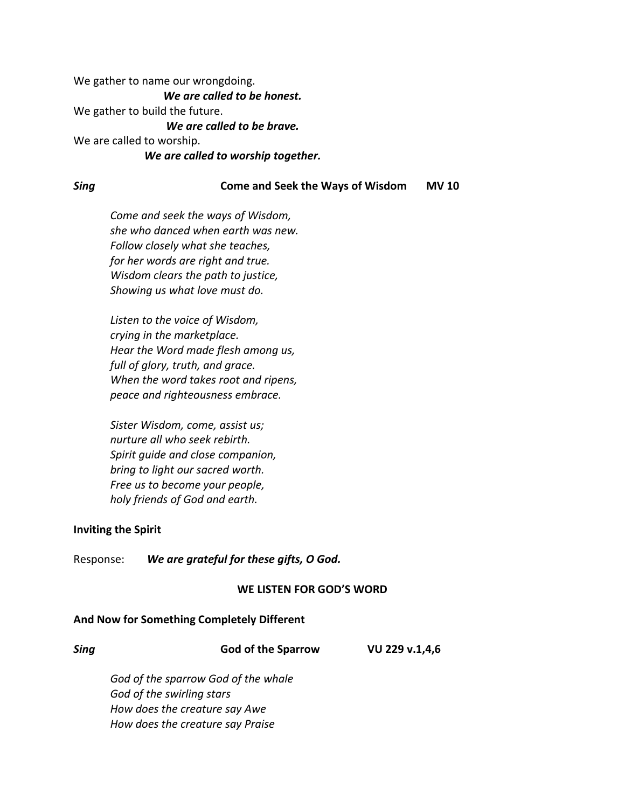We gather to name our wrongdoing.

*We are called to be honest.*

We gather to build the future.

*We are called to be brave.*

We are called to worship.

## *We are called to worship together.*

## *Sing* **Come and Seek the Ways of Wisdom MV 10**

*Come and seek the ways of Wisdom, she who danced when earth was new. Follow closely what she teaches, for her words are right and true. Wisdom clears the path to justice, Showing us what love must do.*

*Listen to the voice of Wisdom, crying in the marketplace. Hear the Word made flesh among us, full of glory, truth, and grace. When the word takes root and ripens, peace and righteousness embrace.*

*Sister Wisdom, come, assist us; nurture all who seek rebirth. Spirit guide and close companion, bring to light our sacred worth. Free us to become your people, holy friends of God and earth.*

# **Inviting the Spirit**

Response: *We are grateful for these gifts, O God.*

# **WE LISTEN FOR GOD'S WORD**

# **And Now for Something Completely Different**

| <b>Sing</b> | <b>God of the Sparrow</b>           | VU 229 v.1,4,6 |
|-------------|-------------------------------------|----------------|
|             | God of the sparrow God of the whale |                |
|             | God of the swirling stars           |                |
|             | How does the creature say Awe       |                |
|             | How does the creature say Praise    |                |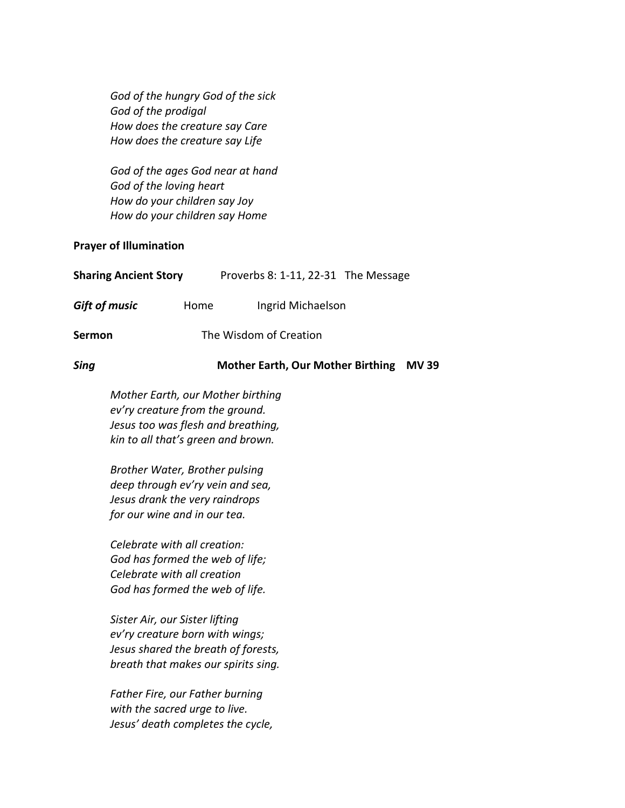*God of the hungry God of the sick God of the prodigal How does the creature say Care How does the creature say Life*

*God of the ages God near at hand God of the loving heart How do your children say Joy How do your children say Home*

## **Prayer of Illumination**

| <b>Sharing Ancient Story</b> |                        | Proverbs 8: 1-11, 22-31 The Message |  |
|------------------------------|------------------------|-------------------------------------|--|
| <b>Gift of music</b>         | Home                   | Ingrid Michaelson                   |  |
| Sermon                       | The Wisdom of Creation |                                     |  |
|                              |                        |                                     |  |

# *Sing* **Mother Earth, Our Mother Birthing MV 39**

*Mother Earth, our Mother birthing ev'ry creature from the ground. Jesus too was flesh and breathing, kin to all that's green and brown.*

*Brother Water, Brother pulsing deep through ev'ry vein and sea, Jesus drank the very raindrops for our wine and in our tea.*

*Celebrate with all creation: God has formed the web of life; Celebrate with all creation God has formed the web of life.*

*Sister Air, our Sister lifting ev'ry creature born with wings; Jesus shared the breath of forests, breath that makes our spirits sing.*

*Father Fire, our Father burning with the sacred urge to live. Jesus' death completes the cycle,*